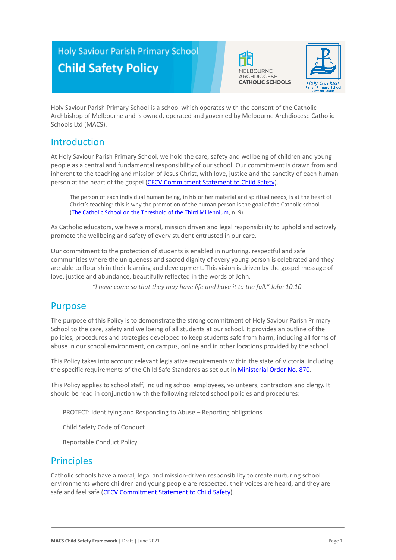# **Holy Saviour Parish Primary School Child Safety Policy**





Holy Saviour Parish Primary School is a school which operates with the consent of the Catholic Archbishop of Melbourne and is owned, operated and governed by Melbourne Archdiocese Catholic Schools Ltd (MACS).

# Introduction

At Holy Saviour Parish Primary School, we hold the care, safety and wellbeing of children and young people as a central and fundamental responsibility of our school. Our commitment is drawn from and inherent to the teaching and mission of Jesus Christ, with love, justice and the sanctity of each human person at the heart of the gospel (CECV Commitment [Statement to Child Safety](https://www.cecv.catholic.edu.au/getmedia/b5d43278-51b9-4704-b45a-f14e50546a70/Commitment-Statement-A4.aspx)).

The person of each individual human being, in his or her material and spiritual needs, is at the heart of Christ's teaching: this is why the promotion of the human person is the goal of the Catholic school (The Catholic School on the Threshold of the Third [Millennium](http://www.vatican.va/roman_curia/congregations/ccatheduc/documents/rc_con_ccatheduc_doc_27041998_school2000_en.html), n. 9).

As Catholic educators, we have a moral, mission driven and legal responsibility to uphold and actively promote the wellbeing and safety of every student entrusted in our care.

Our commitment to the protection of students is enabled in nurturing, respectful and safe communities where the uniqueness and sacred dignity of every young person is celebrated and they are able to flourish in their learning and development. This vision is driven by the gospel message of love, justice and abundance, beautifully reflected in the words of John.

*"I have come so that they may have life and have it to the full." John 10.10*

### Purpose

The purpose of this Policy is to demonstrate the strong commitment of Holy Saviour Parish Primary School to the care, safety and wellbeing of all students at our school. It provides an outline of the policies, procedures and strategies developed to keep students safe from harm, including all forms of abuse in our school environment, on campus, online and in other locations provided by the school.

This Policy takes into account relevant legislative requirements within the state of Victoria, including the specific requirements of the Child Safe Standards as set out in [Ministerial Order No. 870](http://www.gazette.vic.gov.au/gazette/Gazettes2016/GG2016S002.pdf).

This Policy applies to school staff, including school employees, volunteers, contractors and clergy. It should be read in conjunction with the following related school policies and procedures:

1. PROTECT: Identifying and Responding to Abuse – Reporting obligations

2. Child Safety Code of Conduct

Reportable Conduct Policy.

### Principles

Catholic schools have a moral, legal and mission-driven responsibility to create nurturing school environments where children and young people are respected, their voices are heard, and they are safe and feel safe ([CECV Commitment Statement to Child](https://www.cecv.catholic.edu.au/getmedia/b5d43278-51b9-4704-b45a-f14e50546a70/Commitment-Statement-A4.aspx) Safety).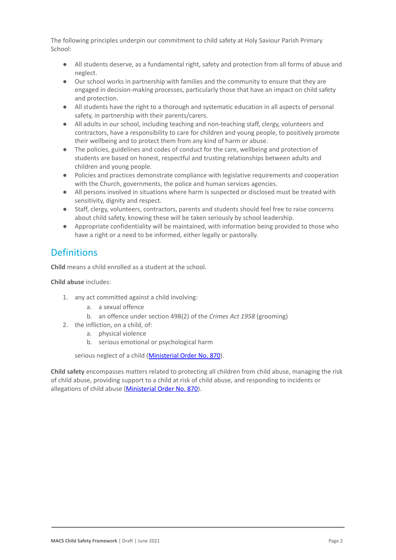The following principles underpin our commitment to child safety at Holy Saviour Parish Primary School:

- All students deserve, as a fundamental right, safety and protection from all forms of abuse and neglect.
- Our school works in partnership with families and the community to ensure that they are engaged in decision-making processes, particularly those that have an impact on child safety and protection.
- All students have the right to a thorough and systematic education in all aspects of personal safety, in partnership with their parents/carers.
- All adults in our school, including teaching and non-teaching staff, clergy, volunteers and contractors, have a responsibility to care for children and young people, to positively promote their wellbeing and to protect them from any kind of harm or abuse.
- The policies, guidelines and codes of conduct for the care, wellbeing and protection of students are based on honest, respectful and trusting relationships between adults and children and young people.
- Policies and practices demonstrate compliance with legislative requirements and cooperation with the Church, governments, the police and human services agencies.
- All persons involved in situations where harm is suspected or disclosed must be treated with sensitivity, dignity and respect.
- Staff, clergy, volunteers, contractors, parents and students should feel free to raise concerns about child safety, knowing these will be taken seriously by school leadership.
- Appropriate confidentiality will be maintained, with information being provided to those who have a right or a need to be informed, either legally or pastorally.

# **Definitions**

**Child** means a child enrolled as a student at the school.

#### **Child abuse** includes:

- 1. any act committed against a child involving:
	- a. a sexual offence
	- b. an offence under section 49B(2) of the *Crimes Act 1958* (grooming)
- 2. the infliction, on a child, of:
	- a. physical violence
	- b. serious emotional or psychological harm

serious neglect of a child ([Ministerial Order No.](http://www.gazette.vic.gov.au/gazette/Gazettes2016/GG2016S002.pdf) 870).

**Child safety** encompasses matters related to protecting all children from child abuse, managing the risk of child abuse, providing support to a child at risk of child abuse, and responding to incidents or allegations of child abuse [\(Ministerial Order No.](http://www.gazette.vic.gov.au/gazette/Gazettes2016/GG2016S002.pdf) 870).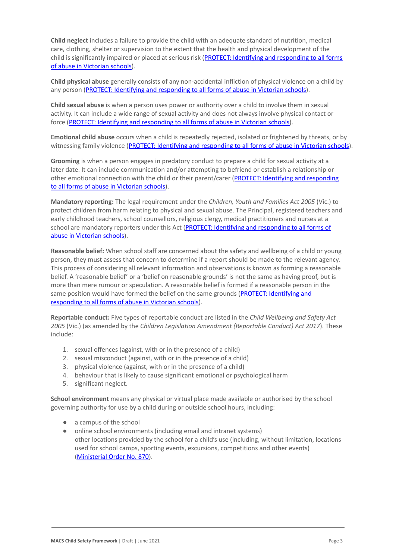**Child neglect** includes a failure to provide the child with an adequate standard of nutrition, medical care, clothing, shelter or supervision to the extent that the health and physical development of the child is significantly impaired or placed at serious risk ([PROTECT: Identifying and responding to all](http://www.cecv.catholic.edu.au/getmedia/ebe135a4-d1b3-48a0-81fe-50d4fc451bcd/Identifying-and-Responding-to-All-Forms-of-Abuse.aspx#page%3D27) forms [of abuse in Victorian schools](http://www.cecv.catholic.edu.au/getmedia/ebe135a4-d1b3-48a0-81fe-50d4fc451bcd/Identifying-and-Responding-to-All-Forms-of-Abuse.aspx#page%3D27)).

**Child physical abuse** generally consists of any non-accidental infliction of physical violence on a child by any person ([PROTECT: Identifying and responding to](https://www.cecv.catholic.edu.au/getmedia/ebe135a4-d1b3-48a0-81fe-50d4fc451bcd/Identifying-and-Responding-to-All-Forms-of-Abuse.aspx#page%3D15) all forms of abuse in Victorian schools).

**Child sexual abuse** is when a person uses power or authority over a child to involve them in sexual activity. It can include a wide range of sexual activity and does not always involve physical contact or force ([PROTECT: Identifying and responding to all](https://www.cecv.catholic.edu.au/getmedia/ebe135a4-d1b3-48a0-81fe-50d4fc451bcd/Identifying-and-Responding-to-All-Forms-of-Abuse.aspx#page%3D17) forms of abuse in Victorian schools).

**Emotional child abuse** occurs when a child is repeatedly rejected, isolated or frightened by threats, or by witnessing family violence (PROTECT: Identifying and [responding to all forms of abuse in Victorian schools](https://www.cecv.catholic.edu.au/getmedia/ebe135a4-d1b3-48a0-81fe-50d4fc451bcd/Identifying-and-Responding-to-All-Forms-of-Abuse.aspx#page%3D26)).

**Grooming** is when a person engages in predatory conduct to prepare a child for sexual activity at a later date. It can include communication and/or attempting to befriend or establish a relationship or other emotional connection with the child or their parent/carer ([PROTECT: Identifying and responding](https://www.cecv.catholic.edu.au/getmedia/ebe135a4-d1b3-48a0-81fe-50d4fc451bcd/Identifying-and-Responding-to-All-Forms-of-Abuse.aspx#page%3D20) [to all forms of abuse in Victorian schools\)](https://www.cecv.catholic.edu.au/getmedia/ebe135a4-d1b3-48a0-81fe-50d4fc451bcd/Identifying-and-Responding-to-All-Forms-of-Abuse.aspx#page%3D20).

**Mandatory reporting:** The legal requirement under the *Children, Youth and Families Act 2005* (Vic.) to protect children from harm relating to physical and sexual abuse. The Principal, registered teachers and early childhood teachers, school counsellors, religious clergy, medical practitioners and nurses at a school are mandatory reporters under this Act (PROTECT: [Identifying and responding to all forms of](http://www.cecv.catholic.edu.au/getmedia/ebe135a4-d1b3-48a0-81fe-50d4fc451bcd/Identifying-and-Responding-to-All-Forms-of-Abuse.aspx#page%3D8) [abuse in Victorian schools](http://www.cecv.catholic.edu.au/getmedia/ebe135a4-d1b3-48a0-81fe-50d4fc451bcd/Identifying-and-Responding-to-All-Forms-of-Abuse.aspx#page%3D8)).

**Reasonable belief:** When school staff are concerned about the safety and wellbeing of a child or young person, they must assess that concern to determine if a report should be made to the relevant agency. This process of considering all relevant information and observations is known as forming a reasonable belief. A 'reasonable belief' or a 'belief on reasonable grounds' is not the same as having proof, but is more than mere rumour or speculation. A reasonable belief is formed if a reasonable person in the same position would have formed the belief on the same grounds ([PROTECT: Identifying and](http://www.cecv.catholic.edu.au/getmedia/ebe135a4-d1b3-48a0-81fe-50d4fc451bcd/Identifying-and-Responding-to-All-Forms-of-Abuse.aspx#page%3D35) [responding to all forms of abuse in Victorian schools\)](http://www.cecv.catholic.edu.au/getmedia/ebe135a4-d1b3-48a0-81fe-50d4fc451bcd/Identifying-and-Responding-to-All-Forms-of-Abuse.aspx#page%3D35).

**Reportable conduct:** Five types of reportable conduct are listed in the *Child Wellbeing and Safety Act 2005* (Vic.) (as amended by the *Children Legislation Amendment (Reportable Conduct) Act 2017*). These include:

- 1. sexual offences (against, with or in the presence of a child)
- 2. sexual misconduct (against, with or in the presence of a child)
- 3. physical violence (against, with or in the presence of a child)
- 4. behaviour that is likely to cause significant emotional or psychological harm
- 5. significant neglect.

**School environment** means any physical or virtual place made available or authorised by the school governing authority for use by a child during or outside school hours, including:

- a campus of the school
- online school environments (including email and intranet systems) other locations provided by the school for a child's use (including, without limitation, locations used for school camps, sporting events, excursions, competitions and other events) ([Ministerial Order No. 870](http://www.gazette.vic.gov.au/gazette/Gazettes2016/GG2016S002.pdf)).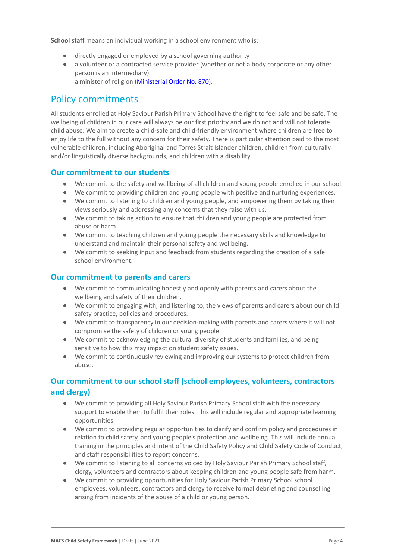**School staff** means an individual working in a school environment who is:

- directly engaged or employed by a school governing authority
- a volunteer or a contracted service provider (whether or not a body corporate or any other person is an intermediary) a minister of religion [\(Ministerial Order No. 870](http://www.gazette.vic.gov.au/gazette/Gazettes2016/GG2016S002.pdf)).

### Policy commitments

All students enrolled at Holy Saviour Parish Primary School have the right to feel safe and be safe. The wellbeing of children in our care will always be our first priority and we do not and will not tolerate child abuse. We aim to create a child-safe and child-friendly environment where children are free to enjoy life to the full without any concern for their safety. There is particular attention paid to the most vulnerable children, including Aboriginal and Torres Strait Islander children, children from culturally and/or linguistically diverse backgrounds, and children with a disability.

#### **Our commitment to our students**

- We commit to the safety and wellbeing of all children and young people enrolled in our school.
- We commit to providing children and young people with positive and nurturing experiences.
- We commit to listening to children and young people, and empowering them by taking their views seriously and addressing any concerns that they raise with us.
- We commit to taking action to ensure that children and young people are protected from abuse or harm.
- We commit to teaching children and young people the necessary skills and knowledge to understand and maintain their personal safety and wellbeing.
- We commit to seeking input and feedback from students regarding the creation of a safe school environment.

#### **Our commitment to parents and carers**

- We commit to communicating honestly and openly with parents and carers about the wellbeing and safety of their children.
- We commit to engaging with, and listening to, the views of parents and carers about our child safety practice, policies and procedures.
- We commit to transparency in our decision-making with parents and carers where it will not compromise the safety of children or young people.
- We commit to acknowledging the cultural diversity of students and families, and being sensitive to how this may impact on student safety issues.
- We commit to continuously reviewing and improving our systems to protect children from abuse.

### **Our commitment to our school staff (school employees, volunteers, contractors and clergy)**

- We commit to providing all Holy Saviour Parish Primary School staff with the necessary support to enable them to fulfil their roles. This will include regular and appropriate learning opportunities.
- We commit to providing regular opportunities to clarify and confirm policy and procedures in relation to child safety, and young people's protection and wellbeing. This will include annual training in the principles and intent of the Child Safety Policy and Child Safety Code of Conduct, and staff responsibilities to report concerns.
- We commit to listening to all concerns voiced by Holy Saviour Parish Primary School staff. clergy, volunteers and contractors about keeping children and young people safe from harm.
- We commit to providing opportunities for Holy Saviour Parish Primary School school employees, volunteers, contractors and clergy to receive formal debriefing and counselling arising from incidents of the abuse of a child or young person.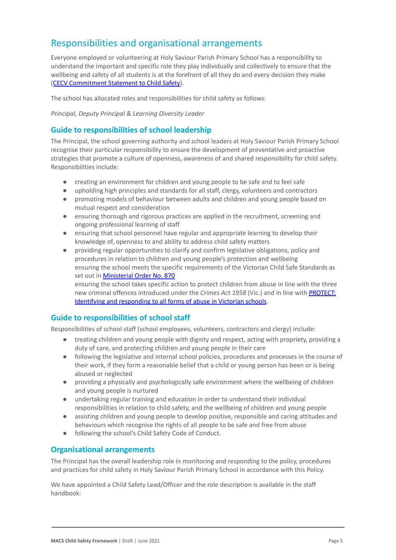# Responsibilities and organisational arrangements

Everyone employed or volunteering at Holy Saviour Parish Primary School has a responsibility to understand the important and specific role they play individually and collectively to ensure that the wellbeing and safety of all students is at the forefront of all they do and every decision they make ([CECV Commitment Statement to Child Safety](https://www.cecv.catholic.edu.au/getmedia/b5d43278-51b9-4704-b45a-f14e50546a70/Commitment-Statement-A4.aspx)).

The school has allocated roles and responsibilities for child safety as follows:

*Principal, Deputy Principal & Learning Diversity Leader*

#### **Guide to responsibilities of school leadership**

The Principal, the school governing authority and school leaders at Holy Saviour Parish Primary School recognise their particular responsibility to ensure the development of preventative and proactive strategies that promote a culture of openness, awareness of and shared responsibility for child safety. Responsibilities include:

- creating an environment for children and young people to be safe and to feel safe
- upholding high principles and standards for all staff, clergy, volunteers and contractors
- promoting models of behaviour between adults and children and young people based on mutual respect and consideration
- ensuring thorough and rigorous practices are applied in the recruitment, screening and ongoing professional learning of staff
- ensuring that school personnel have regular and appropriate learning to develop their knowledge of, openness to and ability to address child safety matters
- providing regular opportunities to clarify and confirm legislative obligations, policy and procedures in relation to children and young people's protection and wellbeing ensuring the school meets the specific requirements of the Victorian Child Safe Standards as set out in [Ministerial Order No. 870](http://www.gazette.vic.gov.au/gazette/Gazettes2016/GG2016S002.pdf)

ensuring the school takes specific action to protect children from abuse in line with the three new criminal offences introduced under the *Crimes Act 1958* (Vic.) and in line with [PROTECT:](http://www.cecv.catholic.edu.au/getmedia/ebe135a4-d1b3-48a0-81fe-50d4fc451bcd/Identifying-and-Responding-to-All-Forms-of-Abuse.aspx) [Identifying and responding to all forms of abuse in](http://www.cecv.catholic.edu.au/getmedia/ebe135a4-d1b3-48a0-81fe-50d4fc451bcd/Identifying-and-Responding-to-All-Forms-of-Abuse.aspx) Victorian schools.

#### **Guide to responsibilities of school staff**

Responsibilities of school staff (school employees, volunteers, contractors and clergy) include:

- treating children and young people with dignity and respect, acting with propriety, providing a duty of care, and protecting children and young people in their care
- following the legislative and internal school policies, procedures and processes in the course of their work, if they form a reasonable belief that a child or young person has been or is being abused or neglected
- providing a physically and psychologically safe environment where the wellbeing of children and young people is nurtured
- undertaking regular training and education in order to understand their individual responsibilities in relation to child safety, and the wellbeing of children and young people
- assisting children and young people to develop positive, responsible and caring attitudes and behaviours which recognise the rights of all people to be safe and free from abuse
- following the school's Child Safety Code of Conduct.

#### **Organisational arrangements**

The Principal has the overall leadership role in monitoring and responding to the policy, procedures and practices for child safety in Holy Saviour Parish Primary School in accordance with this Policy.

We have appointed a Child Safety Lead/Officer and the role description is available in the staff handbook: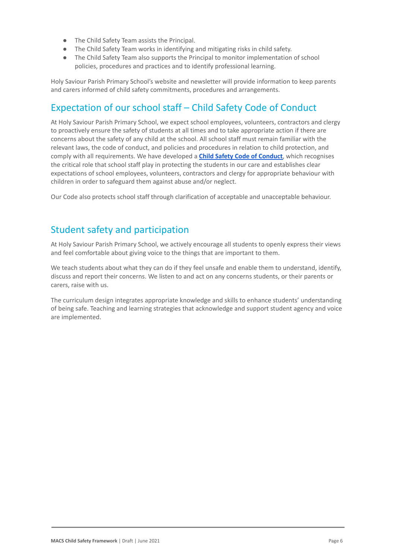- The Child Safety Team assists the Principal.
- The Child Safety Team works in identifying and mitigating risks in child safety.
- The Child Safety Team also supports the Principal to monitor implementation of school policies, procedures and practices and to identify professional learning.

Holy Saviour Parish Primary School's website and newsletter will provide information to keep parents and carers informed of child safety commitments, procedures and arrangements.

# Expectation of our school staff – Child Safety Code of Conduct

At Holy Saviour Parish Primary School, we expect school employees, volunteers, contractors and clergy to proactively ensure the safety of students at all times and to take appropriate action if there are concerns about the safety of any child at the school. All school staff must remain familiar with the relevant laws, the code of conduct, and policies and procedures in relation to child protection, and comply with all requirements. We have developed a **[Child Safety Code of Conduct](https://docs.google.com/document/d/1jlH1tAW9ThiDLJ7EDcMiZ67ZOa3IDmJCaTkk8yw0jEk/edit?usp=sharing)**, which recognises the critical role that school staff play in protecting the students in our care and establishes clear expectations of school employees, volunteers, contractors and clergy for appropriate behaviour with children in order to safeguard them against abuse and/or neglect.

Our Code also protects school staff through clarification of acceptable and unacceptable behaviour.

### Student safety and participation

At Holy Saviour Parish Primary School, we actively encourage all students to openly express their views and feel comfortable about giving voice to the things that are important to them.

We teach students about what they can do if they feel unsafe and enable them to understand, identify, discuss and report their concerns. We listen to and act on any concerns students, or their parents or carers, raise with us.

The curriculum design integrates appropriate knowledge and skills to enhance students' understanding of being safe. Teaching and learning strategies that acknowledge and support student agency and voice are implemented.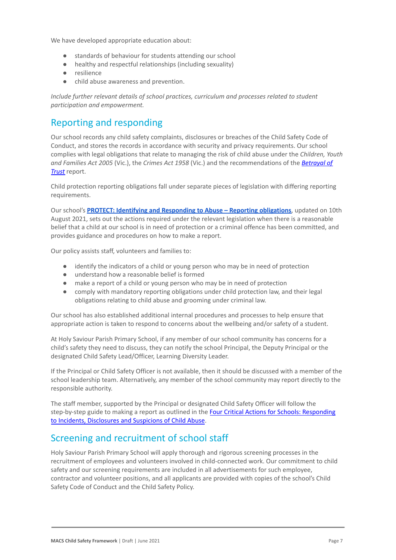We have developed appropriate education about:

- standards of behaviour for students attending our school
- healthy and respectful relationships (including sexuality)
- resilience
- child abuse awareness and prevention.

*Include further relevant details of school practices, curriculum and processes related to student participation and empowerment.*

# Reporting and responding

Our school records any child safety complaints, disclosures or breaches of the Child Safety Code of Conduct, and stores the records in accordance with security and privacy requirements. Our school complies with legal obligations that relate to managing the risk of child abuse under the *Children, Youth and Families Act 2005* (Vic.), the *Crimes Act 1958* (Vic.) and the recommendations of the *[Betrayal of](http://www.parliament.vic.gov.au/fcdc/article/1788) [Trust](http://www.parliament.vic.gov.au/fcdc/article/1788)* report.

Child protection reporting obligations fall under separate pieces of legislation with differing reporting requirements.

Our school's **[PROTECT: Identifying and Responding to](https://docs.google.com/document/d/1_xf6momlYJH-v_o_4q9DY-LZIZa5BrgKa92YTBGW9Cg/edit?usp=sharing) Abuse – Reporting obligations**, updated on 10th August 2021, sets out the actions required under the relevant legislation when there is a reasonable belief that a child at our school is in need of protection or a criminal offence has been committed, and provides guidance and procedures on how to make a report.

Our policy assists staff, volunteers and families to:

- identify the indicators of a child or young person who may be in need of protection
- understand how a reasonable belief is formed
- make a report of a child or young person who may be in need of protection
- comply with mandatory reporting obligations under child protection law, and their legal obligations relating to child abuse and grooming under criminal law.

Our school has also established additional internal procedures and processes to help ensure that appropriate action is taken to respond to concerns about the wellbeing and/or safety of a student.

At Holy Saviour Parish Primary School, if any member of our school community has concerns for a child's safety they need to discuss, they can notify the school Principal, the Deputy Principal or the designated Child Safety Lead/Officer, Learning Diversity Leader.

If the Principal or Child Safety Officer is not available, then it should be discussed with a member of the school leadership team. Alternatively, any member of the school community may report directly to the responsible authority.

The staff member, supported by the Principal or designated Child Safety Officer will follow the step-by-step guide to making a report as outlined in the [Four Critical Actions for Schools: Responding](https://www.education.vic.gov.au/Documents/about/programs/health/protect/FourCriticalActions_ChildAbuse.pdf) [to Incidents, Disclosures and Suspicions of Child](https://www.education.vic.gov.au/Documents/about/programs/health/protect/FourCriticalActions_ChildAbuse.pdf) Abuse.

# Screening and recruitment of school staff

Holy Saviour Parish Primary School will apply thorough and rigorous screening processes in the recruitment of employees and volunteers involved in child-connected work. Our commitment to child safety and our screening requirements are included in all advertisements for such employee, contractor and volunteer positions, and all applicants are provided with copies of the school's Child Safety Code of Conduct and the Child Safety Policy.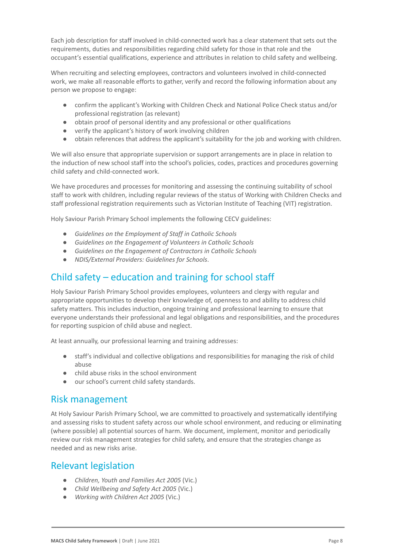Each job description for staff involved in child-connected work has a clear statement that sets out the requirements, duties and responsibilities regarding child safety for those in that role and the occupant's essential qualifications, experience and attributes in relation to child safety and wellbeing.

When recruiting and selecting employees, contractors and volunteers involved in child-connected work, we make all reasonable efforts to gather, verify and record the following information about any person we propose to engage:

- confirm the applicant's Working with Children Check and National Police Check status and/or professional registration (as relevant)
- obtain proof of personal identity and any professional or other qualifications
- verify the applicant's history of work involving children
- obtain references that address the applicant's suitability for the job and working with children.

We will also ensure that appropriate supervision or support arrangements are in place in relation to the induction of new school staff into the school's policies, codes, practices and procedures governing child safety and child-connected work.

We have procedures and processes for monitoring and assessing the continuing suitability of school staff to work with children, including regular reviews of the status of Working with Children Checks and staff professional registration requirements such as Victorian Institute of Teaching (VIT) registration.

Holy Saviour Parish Primary School implements the following CECV guidelines:

- *● Guidelines on the Employment of Staff in Catholic Schools*
- *● Guidelines on the Engagement of Volunteers in Catholic Schools*
- *● Guidelines on the Engagement of Contractors in Catholic Schools*
- *NDIS/External Providers: Guidelines for Schools*.

### Child safety – education and training for school staff

Holy Saviour Parish Primary School provides employees, volunteers and clergy with regular and appropriate opportunities to develop their knowledge of, openness to and ability to address child safety matters. This includes induction, ongoing training and professional learning to ensure that everyone understands their professional and legal obligations and responsibilities, and the procedures for reporting suspicion of child abuse and neglect.

At least annually, our professional learning and training addresses:

- staff's individual and collective obligations and responsibilities for managing the risk of child abuse
- child abuse risks in the school environment
- our school's current child safety standards.

### Risk management

At Holy Saviour Parish Primary School, we are committed to proactively and systematically identifying and assessing risks to student safety across our whole school environment, and reducing or eliminating (where possible) all potential sources of harm. We document, implement, monitor and periodically review our risk management strategies for child safety, and ensure that the strategies change as needed and as new risks arise.

### Relevant legislation

- *Children, Youth and Families Act 2005* (Vic.)
- *Child Wellbeing and Safety Act 2005* (Vic.)
- *Working with Children Act 2005* (Vic.)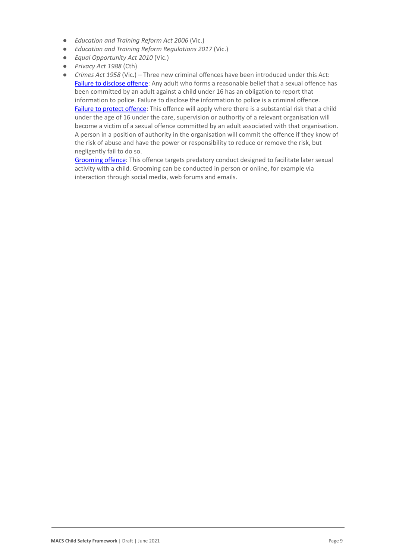- *Education and Training Reform Act 2006* (Vic.)
- *Education and Training Reform Regulations 2017* (Vic.)
- *Equal Opportunity Act 2010* (Vic.)
- *Privacy Act 1988* (Cth)
- *Crimes Act 1958* (Vic.) Three new criminal offences have been introduced under this Act: [Failure to disclose offence](https://www.justice.vic.gov.au/safer-communities/protecting-children-and-families/failure-to-disclose-offence#%3A~%3Atext%3DIn%202014%2C%20the%20law%20in%20Victoria%20was%20changed%2Coffended%20against%20a%20child%20under%2016%20in%20Victoria): Any adult who forms a reasonable belief that a sexual offence has been committed by an adult against a child under 16 has an obligation to report that information to police. Failure to disclose the information to police is a criminal offence. [Failure to protect offence](https://www.justice.vic.gov.au/safer-communities/protecting-children-and-families/failure-to-protect-a-new-criminal-offence-to#%3A~%3Atext%3DFailure%20to%20protect%3A%20a%20new%20criminal%20offence%20to%2Cfrom%20sexual%20abuse%20and%20exposure%20to%20sexual%20offenders): This offence will apply where there is a substantial risk that a child under the age of 16 under the care, supervision or authority of a relevant organisation will become a victim of a sexual offence committed by an adult associated with that organisation. A person in a position of authority in the organisation will commit the offence if they know of the risk of abuse and have the power or responsibility to reduce or remove the risk, but negligently fail to do so.

[Grooming offence](https://www.justice.vic.gov.au/safer-communities/protecting-children-and-families/grooming-offence): This offence targets predatory conduct designed to facilitate later sexual activity with a child. Grooming can be conducted in person or online, for example via interaction through social media, web forums and emails.